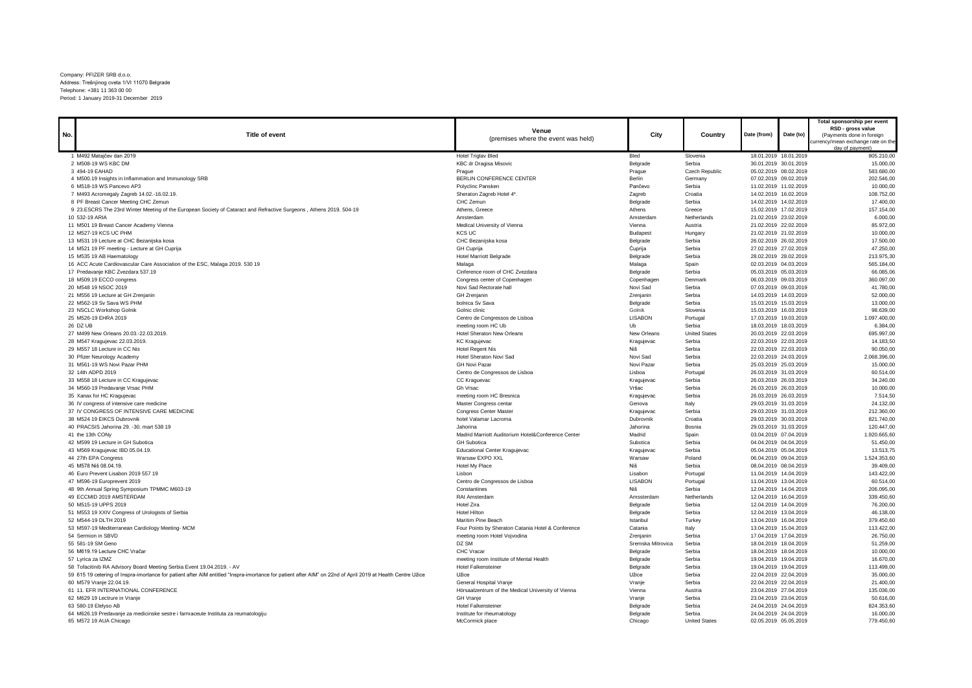Company: PFIZER SRB d.o.o. Address: Trešnjinog cveta 1/VI 11070 Belgrade Telephone: +381 11 363 00 00 Period: 1 January 2019-31 December 2019

|     |                                                                                                                                                             |                                                    |                    |                      |                                                |           | Total sponsorship per event                    |
|-----|-------------------------------------------------------------------------------------------------------------------------------------------------------------|----------------------------------------------------|--------------------|----------------------|------------------------------------------------|-----------|------------------------------------------------|
| No. | Title of event                                                                                                                                              | Venue                                              | City               | Country              | Date (from)                                    | Date (to) | RSD - gross value<br>(Payments done in foreign |
|     |                                                                                                                                                             | (premises where the event was held)                |                    |                      |                                                |           | currency/mean exchange rate on the             |
|     |                                                                                                                                                             |                                                    |                    |                      |                                                |           | day of payment)                                |
|     | 1 M492 Matajčev dan 2019                                                                                                                                    | <b>Hotel Triglav Bled</b>                          | Bled               | Slovenia             | 18.01.2019 18.01.2019                          |           | 805.210,00                                     |
|     | 2 M508-19 WS KBC DM                                                                                                                                         | KBC dr Dragisa Misovic                             | Belgrade           | Serbia               | 30.01.2019 30.01.2019                          |           | 15,000,00                                      |
|     | 3 494-19 EAHAD                                                                                                                                              | Prague                                             | Prague             | Czech Republic       | 05.02.2019 08.02.2019                          |           | 583.680,00                                     |
|     | 4 M500.19 Insights in Inflammation and Immunology SRB                                                                                                       | BERLIN CONFERENCE CENTER                           | Berlin             | Germany              | 07.02.2019 09.02.2019                          |           | 202.546.00                                     |
|     | 6 M518-19 WS Pancevo AP3                                                                                                                                    | Polyclinc Pansken                                  | Pančevo            | Serbia               | 11.02.2019 11.02.2019                          |           | 10.000,00                                      |
|     | 7 M493 Acromegaly Zagreb 14.02.-16.02.19.                                                                                                                   | Sheraton Zagreb Hotel 4*.                          | Zagreb             | Croatia              | 14.02.2019 16.02.2019                          |           | 108.752,00                                     |
|     | 8 PF Breast Cancer Meeting CHC Zemun                                                                                                                        | CHC Zemun                                          | Belgrade           | Serbia               | 14.02.2019 14.02.2019                          |           | 17.400,00                                      |
|     | 9 23.ESCRS The 23rd Winter Meeting of the European Society of Cataract and Refractive Surgeons, Athens 2019. 504-19                                         | Athens, Greece                                     | Athens             | Greece               | 15.02.2019 17.02.2019                          |           | 157.154,00                                     |
|     | 10 532-19 ARIA                                                                                                                                              | Amsterdam                                          | Amsterdam          | Netherlands          | 21.02.2019 23.02.2019                          |           | 6.000,00                                       |
|     | 11 M501 19 Breast Cancer Academy Vienna                                                                                                                     | Medical University of Vienna                       | Vienna             | Austria              | 21.02.2019 22.02.2019                          |           | 85.972,00                                      |
|     | 12 M527-19 KCS UC PHM                                                                                                                                       | <b>KCS UC</b>                                      | <b>Budapest</b>    | Hungary              | 21.02.2019 21.02.2019                          |           | 10,000.00                                      |
|     | 13 M531 19 Lecture at CHC Bezanijska kosa                                                                                                                   | CHC Bezanijska kosa                                | Belgrade           | Serbia               | 26.02.2019 26.02.2019                          |           | 17.500,00                                      |
|     | 14 M521 19 PF meeting - Lecture at GH Cuprija                                                                                                               | <b>GH Cuprija</b>                                  | Ćuprija            | Serbia               | 27.02.2019 27.02.2019                          |           | 47.250,00                                      |
|     | 15 M535 19 AB Haematology                                                                                                                                   | <b>Hotel Marriott Belgrade</b>                     | Belgrade           | Serbia               | 28.02.2019 28.02.2019                          |           | 213.975,30                                     |
|     | 16 ACC Acute Cardiovascular Care Association of the ESC, Malaga 2019. 530 19                                                                                | Malaga                                             | Malaga             | Spain                | 02.03.2019 04.03.2019                          |           | 565.184,00                                     |
|     | 17 Predavanje KBC Zvezdara 537.19                                                                                                                           | Cinference room of CHC Zvezdara                    | Belgrade           | Serbia               | 05.03.2019 05.03.2019                          |           | 66.085,06                                      |
|     | 18 M509.19 ECCO congress                                                                                                                                    | Congress center of Copenhagen                      | Copenhagen         | Denmark              | 06.03.2019 09.03.2019                          |           | 360.097.00                                     |
|     | 20 M548 19 NSOC 2019                                                                                                                                        | Novi Sad Rectorate hall                            | Novi Sad           | Serbia               | 07.03.2019 09.03.2019                          |           | 41.780,00                                      |
|     | 21 M556 19 Lecture at GH Zrenjanin                                                                                                                          | GH Zrenjanin                                       | Zrenjanin          | Serbia               | 14.03.2019 14.03.2019                          |           | 52,000.00                                      |
|     | 22 M562-19 Sv Sava WS PHM                                                                                                                                   | bolnica Sv Sava                                    | Belgrade           | Serbia               | 15.03.2019 15.03.2019                          |           | 13.000,00                                      |
|     | 23 NSCLC Workshop Golnik                                                                                                                                    | Golnic clinic                                      | Golnik             | Slovenia             | 15.03.2019 16.03.2019                          |           | 98.639,00                                      |
|     | 25 M526-19 EHRA 2019                                                                                                                                        | Centro de Congressos de Lisboa                     | <b>LISABON</b>     | Portugal             | 17.03.2019 19.03.2019                          |           | 1.097.400,00                                   |
|     | 26 DZ UB                                                                                                                                                    | meeting room HC Ub                                 | Ub                 | Serbia               | 18.03.2019 18.03.2019                          |           | 6.384,00                                       |
|     | 27 M499 New Orleans 20.03.-22.03.2019.                                                                                                                      | <b>Hotel Sheraton New Orleans</b>                  | New Orleans        | <b>United States</b> | 20.03.2019 22.03.2019                          |           | 695.997.00                                     |
|     | 28 M547 Kragujevac 22.03.2019.                                                                                                                              | <b>KC Kragujevac</b>                               | Kragujevac         | Serbia               | 22.03.2019 22.03.2019                          |           | 14.183,50                                      |
|     | 29 M557 18 Lecture in CC Nis                                                                                                                                | <b>Hotel Regent Nis</b>                            | Niš                | Serbia               | 22.03.2019 22.03.2019                          |           | 90.050,00                                      |
|     | 30 Pfizer Neurology Academy                                                                                                                                 | Hotel Sheraton Novi Sad                            | Novi Sad           | Serbia               | 22.03.2019 24.03.2019                          |           | 2.068.396,00                                   |
|     | 31 M561-19 WS Novi Pazar PHM                                                                                                                                | <b>GH Novi Pazar</b>                               | Novi Pazar         | Serbia               | 25.03.2019 25.03.2019                          |           | 15.000,00                                      |
|     | 32 14th ADPD 2019                                                                                                                                           | Centro de Congressos de Lisboa                     | Lisboa             | Portugal             | 26.03.2019 31.03.2019                          |           | 60.514,00                                      |
|     | 33 M558 18 Lecture in CC Kragujevac                                                                                                                         | CC Kraguevac                                       | Kragujevac         | Serbia               | 26.03.2019 26.03.2019                          |           | 34,240,00                                      |
|     | 34 M560-19 Predavanje Vrsac PHM                                                                                                                             | Gh Vrsac                                           | Vršac              | Serbia               | 26.03.2019 26.03.2019                          |           | 10.000,00                                      |
|     | 35 Xanax for HC Kragujevac                                                                                                                                  | meeting room HC Bresnica                           | Kragujevac         | Serbia               | 26.03.2019 26.03.2019                          |           | 7.514,50                                       |
|     | 36 IV congress of intensive care medicine                                                                                                                   | Master Congress centar                             | Genova             | Italy                | 29.03.2019 31.03.2019                          |           | 24.132,00                                      |
|     | 37 IV CONGRESS OF INTENSIVE CARE MEDICINE                                                                                                                   | <b>Congress Center Master</b>                      | Kragujevac         | Serbia               | 29.03.2019 31.03.2019                          |           | 212.360,00                                     |
|     | 38 M524 19 EIKCS Dubrovnik                                                                                                                                  | hotel Valamar Lacroma<br>Jahorina                  | Dubrovnik          | Croatia              | 29.03.2019 30.03.2019                          |           | 821.740,00                                     |
|     | 40 PRACSIS Jahorina 29. - 30. mart 538 19<br>41 the 13th CONy                                                                                               | Madrid Marriott Auditorium Hotel&Conference Center | Jahorina<br>Madrid | Bosnia<br>Spain      | 29.03.2019 31.03.2019<br>03.04.2019 07.04.2019 |           | 120.447,00<br>1.920.665.60                     |
|     | 42 M599 19 Lecture in GH Subotica                                                                                                                           | <b>GH</b> Subotica                                 | Subotica           | Serbia               | 04.04.2019 04.04.2019                          |           | 51.450,00                                      |
|     | 43 M569 Kragujevac IBD 05.04.19.                                                                                                                            | <b>Educational Center Kragujevac</b>               | Kragujevac         | Serbia               | 05.04.2019 05.04.2019                          |           | 13.513,75                                      |
|     | 44 27th EPA Congress                                                                                                                                        | Warsaw EXPO XXL                                    | Warsaw             | Poland               | 06.04.2019 09.04.2019                          |           | 1.524.353,60                                   |
|     | 45 M578 Niš 08.04.19.                                                                                                                                       | Hotel My Place                                     | Niš                | Serbia               | 08.04.2019 08.04.2019                          |           | 39.409,00                                      |
|     | 46 Euro Prevent Lisabon 2019 557 19                                                                                                                         | Lisbon                                             | Lisabon            | Portugal             | 11.04.2019 14.04.2019                          |           | 143.422,00                                     |
|     | 47 M596-19 Europrevent 2019                                                                                                                                 | Centro de Congressos de Lisboa                     | <b>LISABON</b>     | Portugal             | 11.04.2019 13.04.2019                          |           | 60.514.00                                      |
|     | 48 9th Annual Spring Symposium TPMMC M603-19                                                                                                                | Constantines                                       | Niš                | Serbia               | 12.04.2019 14.04.2019                          |           | 206.095,00                                     |
|     | 49 ECCMID 2019 AMSTERDAM                                                                                                                                    | RAI Amsterdam                                      | Amssterdam         | Netherlands          | 12.04.2019 16.04.2019                          |           | 339.450,60                                     |
|     | 50 M515-19 UPPS 2019                                                                                                                                        | Hotel Zira                                         | Belgrade           | Serbia               | 12.04.2019 14.04.2019                          |           | 76.200,00                                      |
|     | 51 M553 19 XXIV Congress of Urologists of Serbia                                                                                                            | <b>Hotel Hilton</b>                                | Belgrade           | Serbia               | 12.04.2019 13.04.2019                          |           | 46.138,00                                      |
|     | 52 M544-19 DLTH 2019                                                                                                                                        | Maritim Pine Beach                                 | Istanbul           | Turkey               | 13.04.2019 16.04.2019                          |           | 379.450,60                                     |
|     | 53 M597-19 Mediterranean Cardiology Meeting- MCM                                                                                                            | Four Points by Sheraton Catania Hotel & Conference | Catania            | Italy                | 13.04.2019 15.04.2019                          |           | 113.422,00                                     |
|     | 54 Sermion in SBVD                                                                                                                                          | meeting room Hotel Vojvodina                       | Zrenjanin          | Serbia               | 17.04.2019 17.04.2019                          |           | 26.750,00                                      |
|     | 55 581-19 SM Geno                                                                                                                                           | DZ SM                                              | Sremska Mitrovica  | Serbia               | 18.04.2019 18.04.2019                          |           | 51.259.00                                      |
|     | 56 M619.19 Lecture CHC Vračar                                                                                                                               | <b>CHC Vracar</b>                                  | Belgrade           | Serbia               | 18.04.2019 18.04.2019                          |           | 10.000,00                                      |
|     | 57 Lyrica za IZMZ                                                                                                                                           | meeting room Institute of Mental Health            | Belgrade           | Serbia               | 19.04.2019 19.04.2019                          |           | 16.670,00                                      |
|     | 58 Tofacitinib RA Advisory Board Meeting Serbia Event 19.04.2019. - AV                                                                                      | <b>Hotel Falkensteiner</b>                         | Belgrade           | Serbia               | 19.04.2019 19.04.2019                          |           | 113.499,00                                     |
|     | 59 615 19 cetering of Inspra-imortance for patient after AIM entitled "Inspra-imortance for patient after AIM" on 22nd of April 2019 at Health Centre Užice | Užice                                              | Užice              | Serbia               | 22.04.2019 22.04.2019                          |           | 35.000,00                                      |
|     | 60 M579 Vranie 22.04.19.                                                                                                                                    | General Hospital Vranje                            | Vranje             | Serbia               | 22.04.2019 22.04.2019                          |           | 21,400.00                                      |
|     | 61 11. EFR INTERNATIONAL CONFERENCE                                                                                                                         | Hörsaalzentrum of the Medical University of Vienna | Vienna             | Austria              | 23.04.2019 27.04.2019                          |           | 135.036,00                                     |
|     | 62 M629 19 Lectrure in Vranje                                                                                                                               | <b>GH Vranje</b>                                   | Vranje             | Serbia               | 23.04.2019 23.04.2019                          |           | 50.616,00                                      |
|     | 63 580-19 Elelyso AB                                                                                                                                        | <b>Hotel Falkensteine</b>                          | Belgrade           | Serbia               | 24.04.2019 24.04.2019                          |           | 824.353,60                                     |
|     | 64 M626.19 Predavanje za medicinske sestre i farmaceute Instituta za reumatologiju                                                                          | Institute for rheumatology                         | Belgrade           | Serbia               | 24.04.2019 24.04.2019                          |           | 16.000,00                                      |
|     | 65 M572 19 AUA Chicago                                                                                                                                      | McCormick place                                    | Chicago            | <b>United States</b> | 02.05.2019 05.05.2019                          |           | 779.450,60                                     |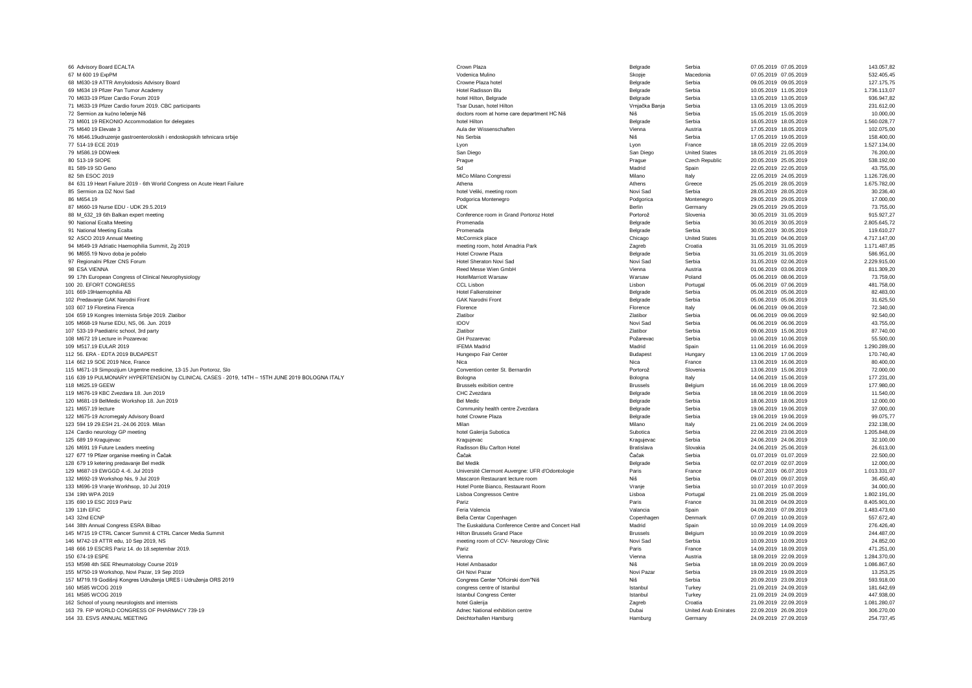| 66 Advisory Board ECALTA                                                                        | Crown Plaza                                       | Belgrade        | Serbia                      | 07.05.2019 07.05.2019 | 143.057,82   |
|-------------------------------------------------------------------------------------------------|---------------------------------------------------|-----------------|-----------------------------|-----------------------|--------------|
| 67 M 600 19 ExpPM                                                                               | Vodenica Mulino                                   | Skopje          | Macedonia                   | 07.05.2019 07.05.2019 | 532.405,45   |
| 68 M630-19 ATTR Amyloidosis Advisory Board                                                      | Crowne Plaza hotel                                | Belgrade        | Serbia                      | 09.05.2019 09.05.2019 | 127.175.75   |
| 69 M634 19 Pfizer Pan Tumor Academy                                                             | Hotel Radisson Blu                                | Belgrade        | Serhia                      | 10.05.2019 11.05.2019 | 1.736.113,07 |
| 70 M633-19 Pfizer Cardio Forum 2019                                                             | hotel Hilton, Belgrade                            | Belgrade        | Serbia                      | 13.05.2019 13.05.2019 | 936.947,82   |
| 71 M633-19 Pfizer Cardio forum 2019. CBC participants                                           | Tsar Dusan, hotel Hilton                          | Vrnjačka Banja  | Serbia                      | 13.05.2019 13.05.2019 | 231.612,00   |
| 72 Sermion za kućno lečenje Niš                                                                 | doctors room at home care department HC Niš       | <b>Niš</b>      | Serbia                      | 15.05.2019 15.05.2019 | 10.000,00    |
| 73 M601 19 REKONIO Accommodation for delegates                                                  | hotel Hilton                                      | Belgrade        | Serbia                      | 16.05.2019 18.05.2019 | 1.560.028,77 |
| 75 M640 19 Elevate 3                                                                            | Aula der Wissenschaften                           | Vienna          | Austria                     | 17.05.2019 18.05.2019 | 102.075,00   |
|                                                                                                 |                                                   |                 |                             |                       |              |
| 76 M646.19udruzenje gastroenteroloskih i endoskopskih tehnicara srbije                          | Nis Serbia                                        | Niš             | Serbia                      | 17.05.2019 19.05.2019 | 158,400.00   |
| 77 514-19 ECE 2019                                                                              | Lyon                                              | Lyon            | France                      | 18.05.2019 22.05.2019 | 1.527.134,00 |
| 79 M586.19 DDWeek                                                                               | San Diego                                         | San Diego       | <b>United States</b>        | 18.05.2019 21.05.2019 | 76.200,00    |
| 80 513-19 SIOPE                                                                                 | Prague                                            | Prague          | Czech Republic              | 20.05.2019 25.05.2019 | 538.192,00   |
| 81 589-19 SD Geno                                                                               | Sd                                                | Madrid          | Spain                       | 22.05.2019 22.05.2019 | 43.755.00    |
| 82 5th ESOC 2019                                                                                | MiCo Milano Congressi                             | Milano          | Italy                       | 22.05.2019 24.05.2019 | 1.126.726,00 |
| 84 631 19 Heart Failure 2019 - 6th World Congress on Acute Heart Failure                        | Athena                                            | Athens          | Greece                      | 25.05.2019 28.05.2019 | 1.675.782,00 |
| 85 Sermion za DZ Novi Sad                                                                       | hotel Veliki, meeting room                        | Novi Sad        | Serbia                      | 28.05.2019 28.05.2019 | 30.236,40    |
| 86 M654.19                                                                                      | Podgorica Montenegro                              | Podgorica       | Montenegro                  | 29.05.2019 29.05.2019 | 17.000.00    |
| 87 M660-19 Nurse EDU - UDK 29.5.2019                                                            | <b>UDK</b>                                        | Berlin          | Germany                     | 29.05.2019 29.05.2019 | 73.755,00    |
| 88 M_632_19 6th Balkan expert meeting                                                           | Conference room in Grand Portoroz Hotel           | Portorož        | Slovenia                    | 30.05.2019 31.05.2019 | 915.927,27   |
| 90 National Ecalta Meeting                                                                      | Promenada                                         | Belgrade        | Serbia                      | 30.05.2019 30.05.2019 | 2.805.645,72 |
| 91 National Meeting Ecalta                                                                      | Promenada                                         | Belgrade        | Serbia                      | 30.05.2019 30.05.2019 | 119.610,27   |
| 92 ASCO 2019 Annual Meeting                                                                     | McCormick place                                   | Chicago         | <b>United States</b>        | 31.05.2019 04.06.2019 | 4.717.147,00 |
| 94 M649-19 Adriatic Haemophilia Summit, Zg 2019                                                 | meeting room, hotel Amadria Park                  | Zagreb          | Croatia                     | 31.05.2019 31.05.2019 | 1.171.487,85 |
| 96 M655.19 Novo doba je počelo                                                                  | Hotel Crowne Plaza                                | Belgrade        | Serbia                      | 31.05.2019 31.05.2019 | 586.951,00   |
| 97 Regionalni Pfizer CNS Forum                                                                  | Hotel Sheraton Novi Sad                           | Novi Sad        | Serbia                      | 31.05.2019 02.06.2019 | 2.229.915,00 |
| 98 ESA VIENNA                                                                                   | Reed Messe Wien GmbH                              | Vienna          | Austria                     | 01.06.2019 03.06.2019 | 811.309,20   |
|                                                                                                 | <b>HotelMarriott Warsaw</b>                       | Warsaw          | Poland                      |                       | 73,759.00    |
| 99 17th European Congress of Clinical Neurophysiology                                           |                                                   |                 |                             | 05.06.2019 08.06.2019 |              |
| 100 20. EFORT CONGRESS                                                                          | CCL Lisbon                                        | Lishon          | Portugal                    | 05.06.2019 07.06.2019 | 481.758,00   |
| 101 669-19Haemophilia AB                                                                        | <b>Hotel Falkensteiner</b>                        | Belgrade        | Serbia                      | 05.06.2019 05.06.2019 | 82.483.00    |
| 102 Predavanje GAK Narodni Front                                                                | <b>GAK Narodni Front</b>                          | Belgrade        | Serbia                      | 05.06.2019 05.06.2019 | 31.625,50    |
| 103 607 19 Floretina Firenca                                                                    | Florence                                          | Florence        | Italy                       | 06.06.2019 09.06.2019 | 72.340.00    |
| 104 659 19 Kongres Internista Srbije 2019. Zlatibor                                             | Zlatibor                                          | Zlatibor        | Serbia                      | 06.06.2019 09.06.2019 | 92.540.00    |
| 105 M668-19 Nurse EDU, NS, 06. Jun. 2019                                                        | <b>IDOV</b>                                       | Novi Sad        | Serbia                      | 06.06.2019 06.06.2019 | 43.755,00    |
| 107 533-19 Paediatric school, 3rd party                                                         | Zlatibor                                          | Zlatibor        | Serbia                      | 09.06.2019 15.06.2019 | 87,740.00    |
| 108 M672 19 Lecture in Pozarevac                                                                | GH Pozarevac                                      | Požarevac       | Serbia                      | 10.06.2019 10.06.2019 | 55.500,00    |
| 109 M517.19 EULAR 2019                                                                          | <b>IFEMA Madrid</b>                               | Madrid          | Spain                       | 11.06.2019 16.06.2019 | 1.290.289,00 |
| 112 56. ERA - EDTA 2019 BUDAPEST                                                                | Hungexpo Fair Center                              | Budapest        | Hungary                     | 13.06.2019 17.06.2019 | 170.740,40   |
| 114 662 19 SOE 2019 Nice, France                                                                | Nica                                              | Nica            | France                      | 13.06.2019 16.06.2019 | 80.400,00    |
| 115 M671-19 Simpozijum Urgentne medicine, 13-15 Jun Portoroz, Slo                               | Convention center St. Bernardin                   | Portorož        | Slovenia                    | 13.06.2019 15.06.2019 | 72.000,00    |
| 116 639 19 PULMONARY HYPERTENSION by CLINICAL CASES - 2019, 14TH - 15TH JUNE 2019 BOLOGNA ITALY | Bologna                                           | Bologna         | Italy                       | 14.06.2019 15.06.2019 | 177.231,00   |
| 118 M625.19 GEEW                                                                                | Brussels exibition centre                         | <b>Brussels</b> | Belgium                     | 16.06.2019 18.06.2019 | 177.980,00   |
| 119 M676-19 KBC Zvezdara 18. Jun 2019                                                           | CHC Zvezdara                                      | Belgrade        | Serbia                      | 18.06.2019 18.06.2019 | 11.540,00    |
| 120 M681-19 BelMedic Workshop 18. Jun 2019                                                      | <b>Bel Medic</b>                                  | Belgrade        | Serbia                      | 18.06.2019 18.06.2019 | 12.000,00    |
| 121 M657.19 lecture                                                                             | Community health centre Zvezdara                  | Belgrade        | Serbia                      | 19.06.2019 19.06.2019 | 37.000,00    |
| 122 M675-19 Acromegaly Advisory Board                                                           | hotel Crowne Plaza                                | Belgrade        | Serbia                      | 19.06.2019 19.06.2019 | 99.075.77    |
| 123 594 19 29.ESH 21,-24.06 2019, Milan                                                         | Milar                                             | Milano          | Italy                       | 21.06.2019 24.06.2019 | 232.138.00   |
|                                                                                                 |                                                   | Subotica        | Serbia                      |                       | 1.205.848,09 |
| 124 Cardio neurology GP meeting                                                                 | hotel Galerija Subotica                           |                 |                             | 22.06.2019 23.06.2019 |              |
| 125 689 19 Kragujevac                                                                           | Kragujevac                                        | Kragujevac      | Serbia                      | 24.06.2019 24.06.2019 | 32.100,00    |
| 126 M691 19 Future Leaders meeting                                                              | Radisson Blu Carlton Hotel                        | Bratislava      | Slovakia                    | 24.06.2019 25.06.2019 | 26.613,00    |
| 127 677 19 Pfizer organise meeting in Čačak                                                     | Čačak                                             | Čačak           | Serbia                      | 01.07.2019 01.07.2019 | 22,500.00    |
| 128 679 19 ketering predavanje Bel medik                                                        | <b>Bel Medik</b>                                  | Belgrade        | Serbia                      | 02.07.2019 02.07.2019 | 12.000,00    |
| 129 M687-19 EWGGD 4 -6, Jul 2019                                                                | Université Clermont Auvergne: UFR d'Odontologie   | Paris           | France                      | 04.07.2019 06.07.2019 | 1.013.331,07 |
| 132 M692-19 Workshop Nis, 9 Jul 2019                                                            | Mascaron Restaurant lecture room                  | Niš             | Serbia                      | 09.07.2019 09.07.2019 | 36.450.40    |
| 133 M696-19 Vranje Workhsop, 10 Jul 2019                                                        | Hotel Ponte Bianco, Restaurant Room               | Vranje          | Serbia                      | 10.07.2019 10.07.2019 | 34,000.00    |
| 134 19th WPA 2019                                                                               | Lisboa Congressos Centre                          | Lisboa          | Portugal                    | 21.08.2019 25.08.2019 | 1.802.191,00 |
| 135 690 19 ESC 2019 Pariz                                                                       | Pariz                                             | Paris           | France                      | 31.08.2019 04.09.2019 | 8.405.901,00 |
| 139 11th EFIC                                                                                   | Feria Valencia                                    | Valancia        | Spain                       | 04.09.2019 07.09.2019 | 1.483.473,60 |
| 143 32nd ECNP                                                                                   | Bella Centar Copenhagen                           | Copenhagen      | Denmark                     | 07.09.2019 10.09.2019 | 557.672,40   |
| 144 38th Annual Congress ESRA Bilbao                                                            | The Euskalduna Conference Centre and Concert Hall | Madrid          | Spain                       | 10.09.2019 14.09.2019 | 276.426,40   |
| 145 M715 19 CTRL Cancer Summit & CTRL Cancer Media Summit                                       | Hilton Brussels Grand Place                       | <b>Brussels</b> | Belgium                     | 10.09.2019 10.09.2019 | 244.487,00   |
| 146 M742-19 ATTR edu, 10 Sep 2019, NS                                                           | meeting room of CCV- Neurology Clinic             | Novi Sad        | Serbia                      | 10.09.2019 10.09.2019 | 24.852,00    |
| 148 666 19 ESCRS Pariz 14. do 18.septembar 2019.                                                | Pariz                                             | Paris           | France                      | 14.09.2019 18.09.2019 | 471.251,00   |
| 150 674-19 ESPE                                                                                 | Vienna                                            | Vienna          | Austria                     | 18.09.2019 22.09.2019 | 1.284.370,00 |
| 153 M598 4th SEE Rheumatology Course 2019                                                       | <b>Hotel Ambasador</b>                            | Niš             | Serbia                      | 18.09.2019 20.09.2019 | 1.086.867.60 |
| 155 M750-19 Workshop, Novi Pazar, 19 Sep 2019                                                   | GH Novi Pazar                                     | Novi Pazar      | Serbia                      | 19.09.2019 19.09.2019 | 13.253,25    |
| 157 M719.19 Godišnji Kongres Udruženja URES i Udruženja ORS 2019                                | Congress Center "Oficirski dom"Niš                | Niš             | Serbia                      | 20.09.2019 23.09.2019 | 593.918,00   |
|                                                                                                 |                                                   |                 |                             |                       |              |
| 160 M585 WCOG 2019                                                                              | congress centre of Istanbul                       | Istanbul        | Turkey                      | 21.09.2019 24.09.2019 | 181.642,69   |
| 161 M585 WCOG 2019                                                                              | <b>Istanbul Congress Center</b>                   | Istanbu         | Turkey                      | 21.09.2019 24.09.2019 | 447.938,00   |
| 162 School of young neurologists and internists                                                 | hotel Galerija                                    | Zagreb          | Croatia                     | 21.09.2019 22.09.2019 | 1.081.280,07 |
| 163 79. FIP WORLD CONGRESS OF PHARMACY 739-19                                                   | Adnec National exhibition centre                  | Dubai           | <b>United Arab Emirates</b> | 22.09.2019 26.09.2019 | 306.270,00   |
| 164 33. ESVS ANNUAL MEETING                                                                     | Deichtorhallen Hamburg                            | Hamburg         | Germany                     | 24.09.2019 27.09.2019 | 254.737.45   |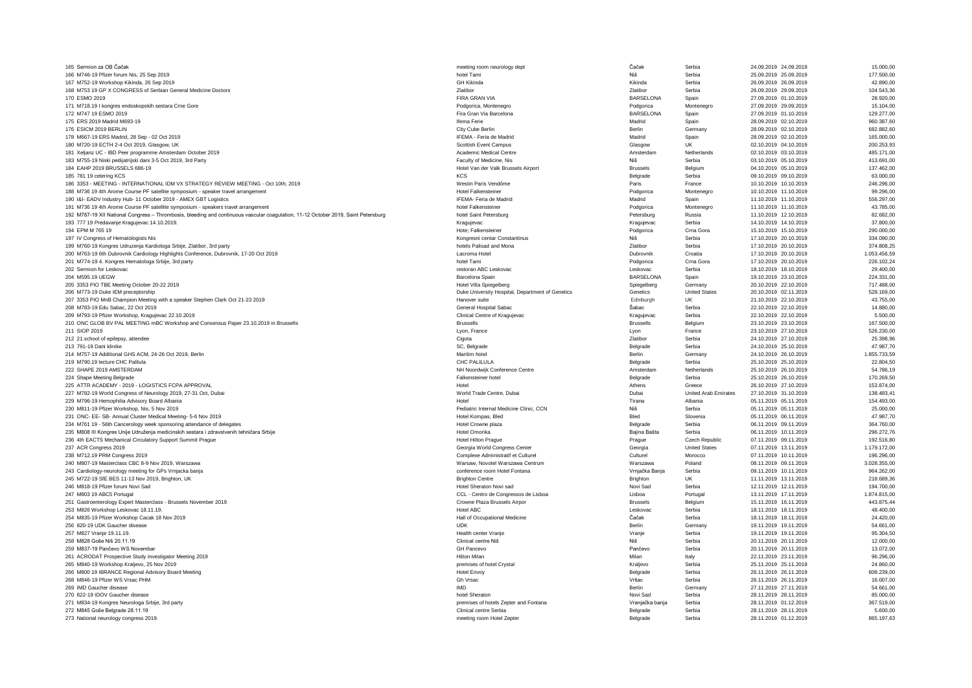| 165 Sermion za OB Čačak                                                                                                            | meeting room neurology dept                         | Čačak            | Serbia                      | 24.09.2019 24.09.2019                          | 15,000.00              |
|------------------------------------------------------------------------------------------------------------------------------------|-----------------------------------------------------|------------------|-----------------------------|------------------------------------------------|------------------------|
| 166 M746-19 Pfizer forum Nis, 25 Sep 2019                                                                                          | hotel Tami                                          | Niš              | Serbia                      | 25.09.2019 25.09.2019                          | 177.500,00             |
| 167 M752-19 Workshop Kikinda, 26 Sep 2019                                                                                          | <b>GH Kikinda</b>                                   | Kikinda          | Serbia                      | 26.09.2019 26.09.2019                          | 42.890,00              |
| 168 M753 19 GP X CONGRESS of Serbian General Medicine Doctors                                                                      | <b>Zlatibor</b>                                     | <b>Zlatibor</b>  | Serbia                      | 26.09.2019 29.09.2019                          | 104.543,36             |
| 170 ESMO 2019                                                                                                                      | FIRA GRAN VIA                                       | <b>BARSELONA</b> | Spain                       | 27.09.2019 01.10.2019                          | 28.920,00              |
| 171 M718.19 I kongres endoskopskih sestara Crne Gore                                                                               | Podgorica, Montenegro                               | Podgorica        | Montenegro                  | 27.09.2019 29.09.2019                          | 15.104,00              |
| 172 M747 19 ESMO 2019                                                                                                              |                                                     | <b>BARSELONA</b> |                             | 27.09.2019 01.10.2019                          | 129,277.00             |
|                                                                                                                                    | Fira Gran Via Barcelona                             |                  | Spain                       |                                                |                        |
| 175 ERS 2019 Madrid M693-19                                                                                                        | Ifema Ferie                                         | Madrid           | Spain                       | 28.09.2019 02.10.2019                          | 960.387,60             |
| 176 ESICM 2019 BERLIN                                                                                                              | City Cube Berlin                                    | Berlin           | Germany                     | 28.09.2019 02.10.2019                          | 682,882.60             |
| 178 M667-19 ERS Madrid, 28 Sep - 02 Oct 2019                                                                                       | IFEMA - Feria de Madrid                             | Madrid           | Spain                       | 28.09.2019 02.10.2019                          | 165.000,00             |
| 180 M720-19 ECTH 2-4 Oct 2019, Glasgow, UK                                                                                         | Scottish Event Campus                               | Glasgow          | <b>UK</b>                   | 02.10.2019 04.10.2019                          | 200.253,93             |
| 181 Xeljanz UC - IBD Peer programme Amsterdam October 2019                                                                         | Academic Medical Centre                             | Amsterdam        | Netherlands                 | 02.10.2019 03.10.2019                          | 485.171,00             |
| 183 M755-19 Niski pedijatrijski dani 3-5 Oct 2019, 3rd Party                                                                       | Faculty of Medicine, Nis                            | Niš              | Serbia                      | 03.10.2019 05.10.2019                          | 413.691,00             |
| 184 EAHP 2019 BRUSSELS 686-19                                                                                                      | Hotel Van der Valk Brussels Airport                 | <b>Brussels</b>  | Belaium                     | 04.10.2019 05.10.2019                          | 137,462.00             |
| 185 781 19 cetering KCS                                                                                                            | KCS                                                 | Belgrade         | Serbia                      | 09.10.2019 09.10.2019                          | 63.000,00              |
| 186 3353 - MEETING - INTERNATIONAL IDM VX STRATEGY REVIEW MEETING - Oct 10th, 2019                                                 | Westin Paris Vendôme                                | Paris            | France                      | 10.10.2019 10.10.2019                          | 246.296,00             |
|                                                                                                                                    | <b>Hotel Falkensteiner</b>                          | Podgorica        | Montenegro                  | 10.10.2019 11.10.2019                          | 99.296,00              |
| 188 M736 19 4th Arome Course PF satellite symposium - speaker travel arrangement                                                   |                                                     |                  |                             |                                                |                        |
| 190 I&I- EADV Industry Hub- 11 October 2019 - AMEX GBT Logistics                                                                   | IFEMA- Feria de Madrid                              | Madrid           | Spain                       | 11.10.2019 11.10.2019                          | 556.297,00             |
| 191 M736 19 4th Arome Course PF satellite symposium - speakers travel arrangement                                                  | hotel Falkensteiner                                 | Podgorica        | Montenegro                  | 11.10.2019 11.10.2019                          | 43.785,00              |
| 192 M787-19 XII National Congress - Thrombosis, bleeding and continuous vascular coagulation, 11-12 October 2019, Saint Petersburg | hotel Saint Petersburg                              | Petersburg       | Russia                      | 11.10.2019 12.10.2019                          | 82.682,00              |
| 193 777 19 Predavanje Kragujevac 14.10.2019.                                                                                       | Kraguievac                                          | Kraguievac       | Serbia                      | 14.10.2019 14.10.2019                          | 37.800,00              |
| 194 FPM M 765 19                                                                                                                   | Hote: Falkensteiner                                 | Podgorica        | Crna Gora                   | 15.10.2019 15.10.2019                          | 290,000.00             |
| 197 IV Congress of Hematologists Nis                                                                                               | Kongresni centar Constantinus                       | Niš              | Serbia                      | 17.10.2019 20.10.2019                          | 334.090,00             |
| 199 M760-19 Kongres Udruzenja Kardiologa Srbije, Zlatibor, 3rd party                                                               | hotels Palisad and Mona                             | Zlatibor         | Serbia                      | 17.10.2019 20.10.2019                          | 374,808.25             |
| 200 M763-19 6th Dubrovnik Cardiology Highlights Conference, Dubrovnik, 17-20 Oct 2019                                              | Lacroma Hotel                                       | Dubrovnik        | Croatia                     | 17.10.2019 20.10.2019                          | 1.053.456,59           |
| 201 M774-19 4. Kongres Hematologa Srbije, 3rd party                                                                                | hotel Tami                                          | Podgorica        | Crna Gora                   | 17.10.2019 20.10.2019                          | 226.102,24             |
|                                                                                                                                    |                                                     |                  | Serbia                      |                                                |                        |
| 202 Sermion for Leskovac                                                                                                           | restoran ABC Leskovac                               | Leskovac         |                             | 18.10.2019 18.10.2019                          | 29.400,00              |
| 204 M595.19 UEGW                                                                                                                   | Barcelona Spain                                     | <b>BARSELONA</b> | Spain                       | 19.10.2019 23.10.2019                          | 224.331,00             |
| 205 3353 PIO TBE Meeting October 20-22 2019                                                                                        | Hotel Villa Spiegelberg                             | Spiegelberg      | Germany                     | 20.10.2019 22.10.2019                          | 717.488,00             |
| 206 M773-19 Duke IEM preceptorship                                                                                                 | Duke University Hospital, Department of Genetics    | Genetics         | <b>United States</b>        | 20.10.2019 02.11.2019                          | 528.169,00             |
| 207 3353 PIO MnB Champion Meeting with a speaker Stephen Clark Oct 21-23 2019                                                      | Hanover suite                                       | Edinburgh        | <b>UK</b>                   | 21.10.2019 22.10.2019                          | 43,755.00              |
| 208 M783-19 Edu Sabac, 22 Oct 2019                                                                                                 | General Hospital Sabac                              | Šabac            | Serbia                      | 22.10.2019 22.10.2019                          | 14.880.00              |
| 209 M793-19 Pfizer Workshop, Kragujevac 22.10.2019                                                                                 | Clinical Centre of Kragujevac                       | Kragujevac       | Serbia                      | 22.10.2019 22.10.2019                          | 5,500.00               |
| 210 ONC GLOB BV PAL MEETING mBC Workshop and Consensus Paper 23.10.2019 in Brussells                                               | <b>Brussells</b>                                    | <b>Brussells</b> | Belgium                     | 23.10.2019 23.10.2019                          | 167,500.00             |
| 211 SIOP 2019                                                                                                                      | Lyon, France                                        | Lvon             | France                      | 23.10.2019 27.10.2019                          | 526.230,00             |
|                                                                                                                                    |                                                     |                  |                             |                                                |                        |
|                                                                                                                                    |                                                     |                  |                             |                                                |                        |
| 212 21.school of epilepsy, attendee                                                                                                | Cigota                                              | <b>Zlatibor</b>  | Serbia                      | 24.10.2019 27.10.2019                          | 25.398.96              |
| 213 791-19 Dani klinike                                                                                                            | SC, Belgrade                                        | Belgrade         | Serbia                      | 24.10.2019 25.10.2019                          | 47.987,70              |
| 214 M757-19 Additional GHS ACM, 24-26 Oct 2019, Berlin                                                                             | Maritim hote                                        | Berlin           | Germany                     | 24.10.2019 26.10.2019                          | 1.855.733,59           |
| 219 M790.19 lecture CHC Palilula                                                                                                   | CHC PALILULA                                        | Belgrade         | Serbia                      | 25.10.2019 25.10.2019                          | 22.804,50              |
| 222 SHAPE 2019 AMSTERDAM                                                                                                           | NH Noordwijk Conference Centre                      | Amsterdam        | Netherlands                 | 25.10.2019 26.10.2019                          | 54.786,19              |
| 224 Shape Meeting Belgrade                                                                                                         | Falkensteiner hotel                                 | Belgrade         | Serbia                      | 25.10.2019 26.10.2019                          | 170.269,50             |
| 225 ATTR ACADEMY - 2019 - LOGISTICS FCPA APPROVAL                                                                                  | Hotel                                               | Athens           | Greece                      | 26.10.2019 27.10.2019                          | 153.874,00             |
| 227 M782-19 World Congress of Neurology 2019, 27-31 Oct, Dubai                                                                     | World Trade Centre, Dubai                           | Dubai            | <b>United Arab Emirates</b> | 27.10.2019 31.10.2019                          | 138.483,41             |
|                                                                                                                                    | Hotel                                               | Tirana           |                             | 05.11.2019 05.11.2019                          |                        |
| 229 M796-19 Hemophilia Advisory Board Albania                                                                                      |                                                     |                  | Albania                     |                                                | 154.493,00             |
| 230 M811-19 Pfizer Workshop, Nis, 5 Nov 2019                                                                                       | Pediatric Internal Medicine Clinic, CCN             | Niš              | Serbia                      | 05.11.2019 05.11.2019                          | 25.000,00              |
| 231 ONC- EE- SB- Annual Cluster Medical Meeting- 5-6 Nov 2019                                                                      | Hotel Kompas, Bled                                  | Bled             | Slovenia                    | 05.11.2019 06.11.2019                          | 47.987.70              |
| 234 M761 19 - 56th Cancerology week sponsoring attendance of delegates                                                             | Hotel Crowne plaza                                  | Belgrade         | Serbia                      | 06.11.2019 09.11.2019                          | 364,760.00             |
| 235 M808 III Kongres Unije Udruženja medicinskih sestara i zdravstvenih tehničara Srbije                                           | Hotel Omorika                                       | Bajina Bašta     | Serbia                      | 06.11.2019 10.11.2019                          | 296.272,76             |
| 236 4th EACTS Mechanical Circulatory Support Summit Prague                                                                         | <b>Hotel Hilton Prague</b>                          | Prague           | Czech Republic              | 07.11.2019 09.11.2019                          | 192.516.80             |
| 237 ACR Congress 2019                                                                                                              | Georgia World Congress Center                       | Georgia          | <b>United States</b>        | 07.11.2019 13.11.2019                          | 1.179.172,00           |
| 238 M712.19 PRM Congress 2019                                                                                                      | Complexe Administratif et Culturel                  | Culturel         | Morocco                     | 07.11.2019 10.11.2019                          | 196.296,00             |
| 240 M807-19 Masterclass CBC 8-9 Nov 2019, Warszawa                                                                                 | Warsaw, Novotel Warszawa Centrum                    | Warszawa         | Poland                      | 08.11.2019 09.11.2019                          | 3.028.355,00           |
| 243 Cardiology-neurology meeting for GPs Vrnjacka banja                                                                            | conference room Hotel Fontana                       | Vrnjačka Banja   | Serbia                      | 09.11.2019 10.11.2019                          | 964.262,00             |
| 245 M722-19 SfE BES 11-13 Nov 2019, Brighton, UK                                                                                   | <b>Brighton Centre</b>                              | Brighton         | <b>UK</b>                   | 11.11.2019 13.11.2019                          | 218,689.36             |
|                                                                                                                                    |                                                     |                  |                             |                                                |                        |
| 246 M818-19 Pfizer forum Novi Sad                                                                                                  | Hotel Sheraton Novi sad                             | Novi Sad         | Serbia                      | 12.11.2019 12.11.2019                          | 194.700,00             |
| 247 M803 19 ABC5 Portugal                                                                                                          | CCL - Centro de Congressos de Lisboa                | Lisboa           | Portugal                    | 13.11.2019 17.11.2019                          | 1.874.815,00           |
| 251 Gastroenterology Expert Masterclass - Brussels November 2019                                                                   | Crowne Plaza Brussels Airpor                        | <b>Brussels</b>  | Belgium                     | 15.11.2019 16.11.2019                          | 443.875,44             |
| 253 M826 Workshop Leskovac 18.11.19.                                                                                               | Hotel ABC                                           | Leskovac         | Serbia                      | 18.11.2019 18.11.2019                          | 48.400.00              |
| 254 M835-19 Pfizer Workshop Cacak 18 Nov 2019                                                                                      | Hall of Occupational Medicine                       | Čačak            | Serbia                      | 18.11.2019 18.11.2019                          | 24.420,00              |
| 256 820-19 UDK Gaucher disease                                                                                                     | <b>UDK</b>                                          | Berlin           | Germany                     | 19.11.2019 19.11.2019                          | 54.661,00              |
| 257 M827 Vranje 19.11.19.                                                                                                          | Health center Vranje                                | Vranie           | Serbia                      | 19.11.2019 19.11.2019                          | 95.304,50              |
| 258 M828 Goše Niš 20.11.19                                                                                                         | Clinical centre Niš                                 | Niš              | Serbia                      | 20.11.2019 20.11.2019                          | 12.000,00              |
| 259 M837-19 Pančevo WS Novembar                                                                                                    | <b>GH Pancevo</b>                                   | Pančevo          | Serbia                      | 20.11.2019 20.11.2019                          | 13.072,00              |
| 261 ACRODAT Prospective Study Investigator Meeting 2019                                                                            | Hilton Milan                                        | Milan            | Italy                       | 22.11.2019 23.11.2019                          | 96,296.00              |
| 265 M840-19 Workshop Kraljevo, 25 Nov 2019                                                                                         | premises of hotel Crystal                           | Kraljevo         | Serbia                      | 25.11.2019 25.11.2019                          | 24.860,00              |
|                                                                                                                                    |                                                     |                  | Serbia                      |                                                |                        |
| 266 M800 19 IBRANCE Regional Advisory Board Meeting                                                                                | <b>Hotel Envoy</b>                                  | Belgrade         |                             | 26.11.2019 26.11.2019                          | 608.239,00             |
| 268 M846-19 Pfizer WS Vrsac PHM                                                                                                    | Gh Vrsac                                            | Vršac            | Serbia                      | 26.11.2019 26.11.2019                          | 16.007,00              |
| 269 IMD Gaucher disease                                                                                                            | <b>IMD</b>                                          | <b>Berlin</b>    | Germany                     | 27.11.2019 27.11.2019                          | 54.661,00              |
| 270 822-19 IDOV Gaucher disease                                                                                                    | hotel Sherator                                      | Novi Sad         | Serbia                      | 28.11.2019 28.11.2019                          | 85,000.00              |
| 271 M834-19 Kongres Neurologa Srbije, 3rd party                                                                                    | premises of hotels Zepter and Fontana               | Vranjačka banja  | Serbia                      | 28.11.2019 01.12.2019                          | 367.519,00             |
| 272 M845 Goše Belgrade 28.11.19                                                                                                    | Clinical centre Serbia<br>meeting room Hotel Zepter | Belgrade         | Serbia                      | 28.11.2019 28.11.2019<br>28.11.2019 01.12.2019 | 5,600.00<br>865.197.63 |